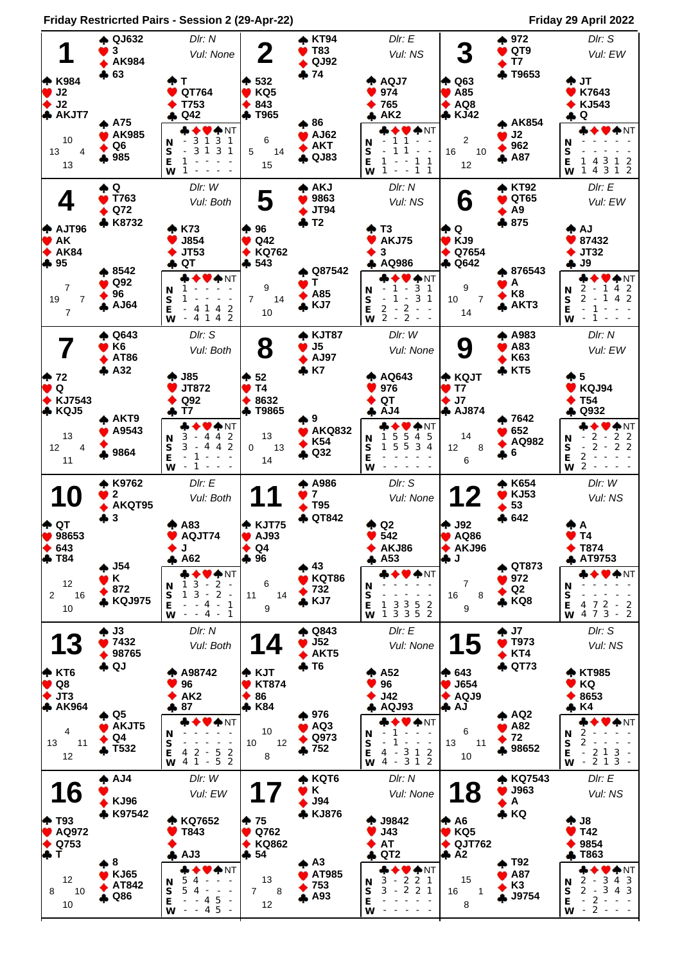**Friday Restricrted Pairs - Session 2 (29-Apr-22) Friday 29 April 2022**